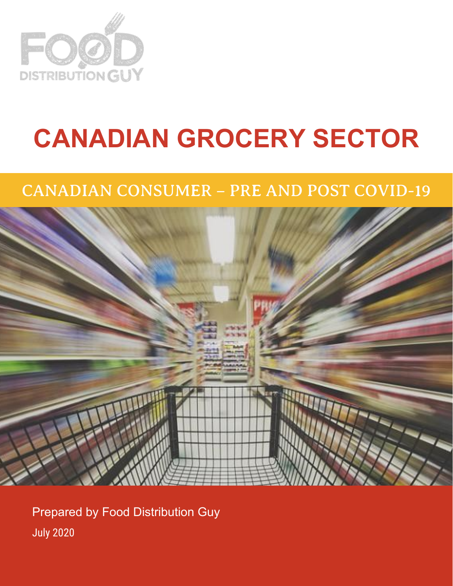

# **CANADIAN GROCERY SECTOR**

### CANADIAN CONSUMER – PRE AND POST COVID-19



Prepared by Food Distribution Guy July 2020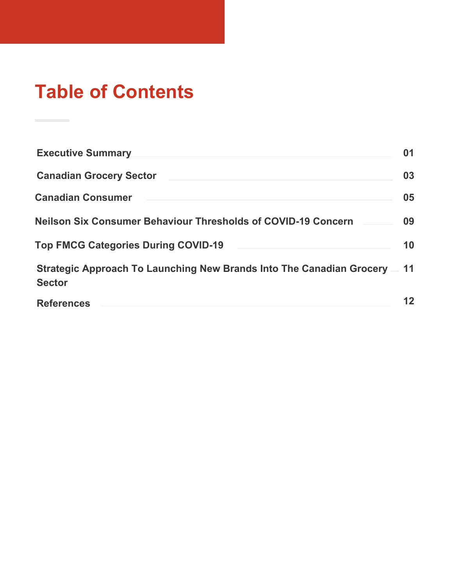### **Table of Contents**

| <b>Executive Summary</b>                                                                | 01 |
|-----------------------------------------------------------------------------------------|----|
| <b>Canadian Grocery Sector</b>                                                          | 03 |
| <b>Canadian Consumer</b>                                                                | 05 |
| <b>Neilson Six Consumer Behaviour Thresholds of COVID-19 Concern</b>                    | 09 |
| <b>Top FMCG Categories During COVID-19</b>                                              | 10 |
| Strategic Approach To Launching New Brands Into The Canadian Grocery —<br><b>Sector</b> | 11 |
| <b>References</b>                                                                       | 12 |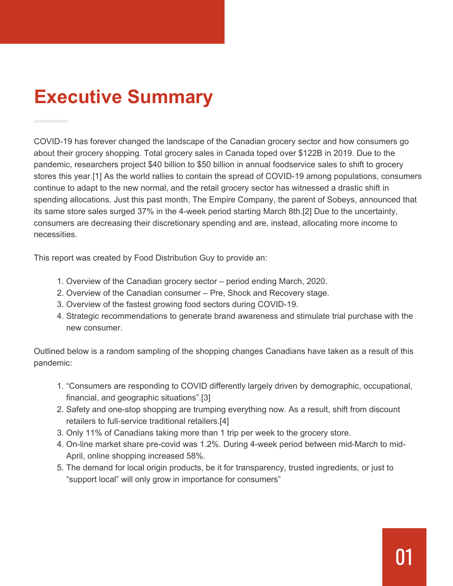### **Executive Summary**

COVID-19 has forever changed the landscape of the Canadian grocery sector and how consumers go about their grocery shopping. Total grocery sales in Canada toped over \$122B in 2019. Due to the pandemic, researchers project \$40 billion to \$50 billion in annual foodservice sales to shift to grocery stores this year.[1] As the world rallies to contain the spread of COVID-19 among populations, consumers continue to adapt to the new normal, and the retail grocery sector has witnessed a drastic shift in spending allocations. Just this past month, The Empire Company, the parent of Sobeys, announced that its same store sales surged 37% in the 4-week period starting March 8th.[2] Due to the uncertainty, consumers are decreasing their discretionary spending and are, instead, allocating more income to necessities.

This report was created by Food Distribution Guy to provide an:

- 1. Overview of the Canadian grocery sector period ending March, 2020.
- 2. Overview of the Canadian consumer Pre, Shock and Recovery stage.
- 3. Overview of the fastest growing food sectors during COVID-19.
- 4. Strategic recommendations to generate brand awareness and stimulate trial purchase with the new consumer.

Outlined below is a random sampling of the shopping changes Canadians have taken as a result of this pandemic:

- 1. "Consumers are responding to COVID differently largely driven by demographic, occupational, financial, and geographic situations".[3]
- 2. Safety and one-stop shopping are trumping everything now. As a result, shift from discount retailers to full-service traditional retailers.[4]
- 3. Only 11% of Canadians taking more than 1 trip per week to the grocery store.
- 4. On-line market share pre-covid was 1.2%. During 4-week period between mid-March to mid- April, online shopping increased 58%.
- 5. The demand for local origin products, be it for transparency, trusted ingredients, or just to "support local" will only grow in importance for consumers"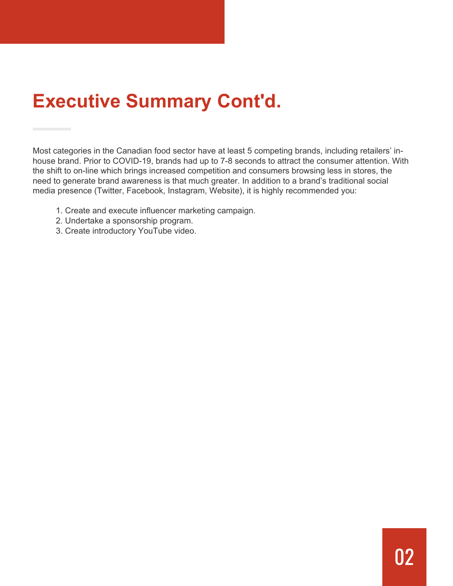### **Executive Summary Cont'd.**

Most categories in the Canadian food sector have at least 5 competing brands, including retailers' inhouse brand. Prior to COVID-19, brands had up to 7-8 seconds to attract the consumer attention. With the shift to on-line which brings increased competition and consumers browsing less in stores, the need to generate brand awareness is that much greater. In addition to a brand's traditional social media presence (Twitter, Facebook, Instagram, Website), it is highly recommended you:

- 1. Create and execute influencer marketing campaign.
- 2. Undertake a sponsorship program.
- 3. Create introductory YouTube video.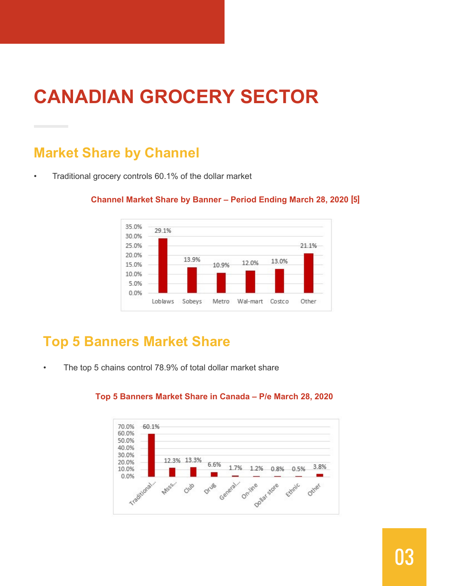### **CANADIAN GROCERY SECTOR**

#### **Market Share by Channel**

• Traditional grocery controls 60.1% of the dollar market



#### **Channel Market Share by Banner – Period Ending March 28, 2020 [5]**

#### **Top 5 Banners Market Share**

• The top 5 chains control 78.9% of total dollar market share



#### **Top 5 Banners Market Share in Canada – P/e March 28, 2020**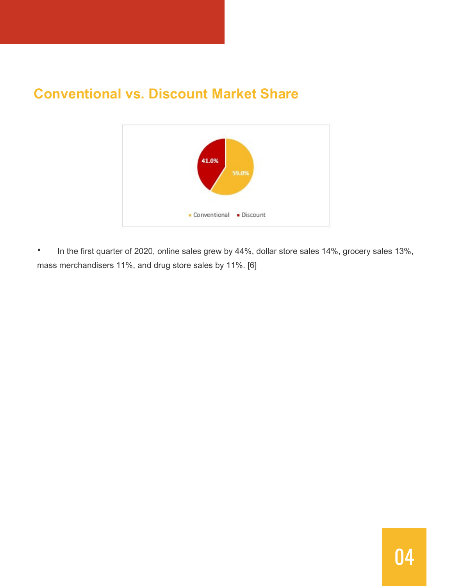#### **Conventional vs. Discount Market Share**



• In the first quarter of 2020, online sales grew by 44%, dollar store sales 14%, grocery sales 13%, mass merchandisers 11%, and drug store sales by 11%. [6]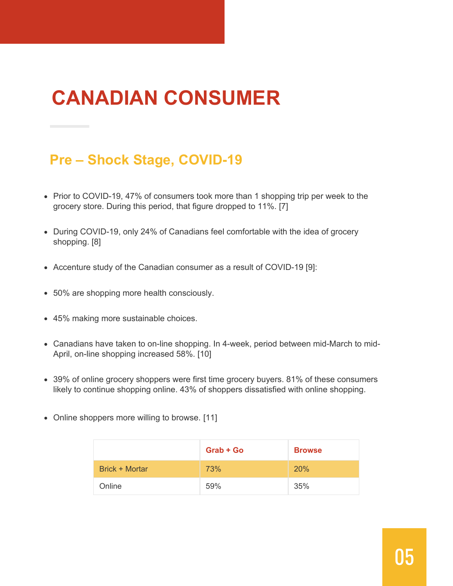## **CANADIAN CONSUMER**

#### **Pre – Shock Stage, COVID-19**

- Prior to COVID-19, 47% of consumers took more than 1 shopping trip per week to the grocery store. During this period, that figure dropped to 11%. [7]
- During COVID-19, only 24% of Canadians feel comfortable with the idea of grocery shopping. [8]
- Accenture study of the Canadian consumer as a result of COVID-19 [9]:
- 50% are shopping more health consciously.
- 45% making more sustainable choices.
- Canadians have taken to on-line shopping. In 4-week, period between mid-March to mid-April, on-line shopping increased 58%. [10]
- 39% of online grocery shoppers were first time grocery buyers. 81% of these consumers likely to continue shopping online. 43% of shoppers dissatisfied with online shopping.
- Online shoppers more willing to browse. [11]

|                | $Graph + Go$ | <b>Browse</b> |
|----------------|--------------|---------------|
| Brick + Mortar | <b>73%</b>   | 20%           |
| Online         | 59%          | 35%           |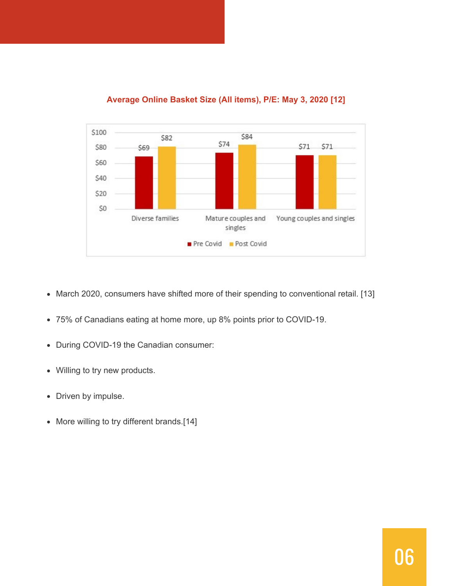

#### **Average Online Basket Size (All items), P/E: May 3, 2020 [12]**

- March 2020, consumers have shifted more of their spending to conventional retail. [13]
- 75% of Canadians eating at home more, up 8% points prior to COVID-19.
- During COVID-19 the Canadian consumer:
- Willing to try new products.
- Driven by impulse.
- More willing to try different brands.[14]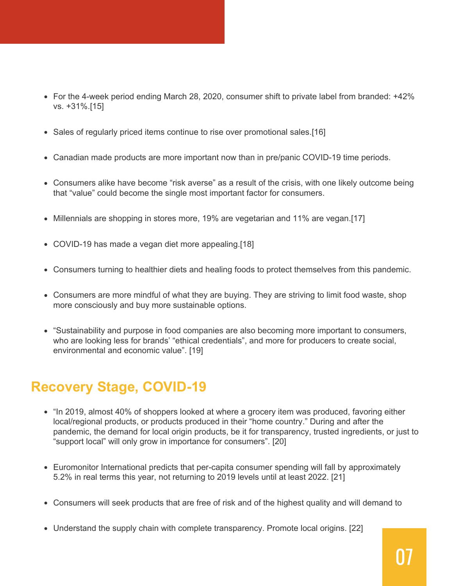- For the 4-week period ending March 28, 2020, consumer shift to private label from branded: +42% vs. +31%.[15]
- Sales of regularly priced items continue to rise over promotional sales.[16]
- Canadian made products are more important now than in pre/panic COVID-19 time periods.
- Consumers alike have become "risk averse" as a result of the crisis, with one likely outcome being that "value" could become the single most important factor for consumers.
- Millennials are shopping in stores more, 19% are vegetarian and 11% are vegan.[17]
- COVID-19 has made a vegan diet more appealing.[18]
- Consumers turning to healthier diets and healing foods to protect themselves from this pandemic.
- Consumers are more mindful of what they are buying. They are striving to limit food waste, shop more consciously and buy more sustainable options.
- "Sustainability and purpose in food companies are also becoming more important to consumers, who are looking less for brands' "ethical credentials", and more for producers to create social, environmental and economic value". [19]

### **Recovery Stage, COVID-19**

- "In 2019, almost 40% of shoppers looked at where a grocery item was produced, favoring either local/regional products, or products produced in their "home country." During and after the pandemic, the demand for local origin products, be it for transparency, trusted ingredients, or just to "support local" will only grow in importance for consumers". [20]
- Euromonitor International predicts that per-capita consumer spending will fall by approximately 5.2% in real terms this year, not returning to 2019 levels until at least 2022. [21]
- Consumers will seek products that are free of risk and of the highest quality and will demand to
- Understand the supply chain with complete transparency. Promote local origins. [22]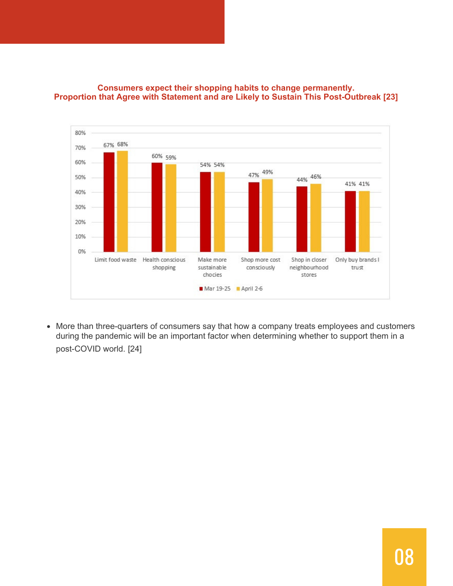

#### **Consumers expect their shopping habits to change permanently. Proportion that Agree with Statement and are Likely to Sustain This Post-Outbreak [23]**

More than three-quarters of consumers say that how a company treats employees and customers during the pandemic will be an important factor when determining whether to support them in a post-COVID world. [24]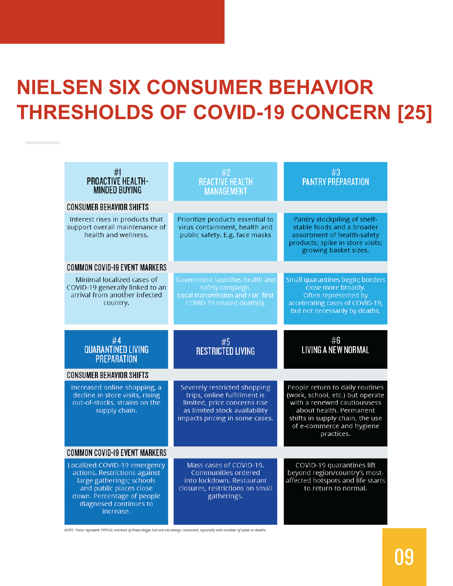## **NIELSEN SIX CONSUMER BEHAVIOR THRESHOLDS OF COVID-19 CONCERN [25]**

|                                      | #<br><b>PROACTIVE HEALTH-</b><br><b>MINDED BUYING</b>                                                                                                                                      | #2<br><b>REACTIVE HEALTH</b><br><b>MANAGEMENT</b>                                                                                                               | #3<br><b>PANTRY PREPARATION</b>                                                                                                                                                                             |  |  |  |
|--------------------------------------|--------------------------------------------------------------------------------------------------------------------------------------------------------------------------------------------|-----------------------------------------------------------------------------------------------------------------------------------------------------------------|-------------------------------------------------------------------------------------------------------------------------------------------------------------------------------------------------------------|--|--|--|
|                                      | <b>CONSUMER BEHAVIOR SHIFTS</b>                                                                                                                                                            |                                                                                                                                                                 |                                                                                                                                                                                                             |  |  |  |
|                                      | Interest rises in products that<br>support overall maintenance of<br>health and wellness.                                                                                                  | Prioritize products essential to<br>virus containment, health and<br>public safety. E.g. face masks                                                             | Pantry stockpiling of shelf-<br>stable foods and a broader<br>assortment of health-safety<br>products; spike in store visits;<br>growing basket sizes.                                                      |  |  |  |
|                                      | <b>COMMON COVID-19 EVENT MARKERS</b>                                                                                                                                                       |                                                                                                                                                                 |                                                                                                                                                                                                             |  |  |  |
|                                      | Minimal localized cases of<br>COVID-19 generally linked to an<br>arrival from another infected<br>country.                                                                                 | Government launches health and<br>safety campaign.<br>Local transmission and / or_first<br>COVID-19 related death(s).                                           | Small quarantines begin; borders<br>close more broadly.<br>Often represented by<br>accelerating cases of COVID-19,<br>but not necessarily by deaths.                                                        |  |  |  |
|                                      |                                                                                                                                                                                            |                                                                                                                                                                 |                                                                                                                                                                                                             |  |  |  |
|                                      | $$\#4$$ QUARANTINED LIVING<br><b>PREPARATION</b>                                                                                                                                           | #5<br>RESTRICTED LIVING                                                                                                                                         | #6<br>LIVING A NEW NORMAL                                                                                                                                                                                   |  |  |  |
|                                      | <b>CONSUMER BEHAVIOR SHIFTS</b>                                                                                                                                                            |                                                                                                                                                                 |                                                                                                                                                                                                             |  |  |  |
|                                      | Increased online shopping, a<br>decline in store visits, rising<br>out-of-stocks, strains on the<br>supply chain.                                                                          | Severely restricted shopping<br>trips, online fulfillment is<br>limited, price concerns rise<br>as limited stock availability<br>impacts pricing in some cases. | People return to daily routines<br>(work, school, etc.) but operate<br>with a renewed cautiousness<br>about health. Permanent<br>shifts in supply chain, the use<br>of e-commerce and hygiene<br>practices. |  |  |  |
| <b>COMMON COVID-19 EVENT MARKERS</b> |                                                                                                                                                                                            |                                                                                                                                                                 |                                                                                                                                                                                                             |  |  |  |
|                                      | Localized COVID-19 emergency<br>actions. Restrictions against<br>large gatherings; schools<br>and public places close<br>down. Percentage of people<br>diagnosed continues to<br>increase. | Mass cases of COVID-19.<br>Communities ordered<br>into lockdown. Restaurant<br>closures, restrictions on small<br>gatherings.                                   | COVID-19 quarantines lift<br>beyond region/country's most-<br>affected hotspots and life starts<br>to return to normal.                                                                                     |  |  |  |

NOTE: These represent TYPICAL markers of these stages but are not always consistent, especially with number of cases or deaths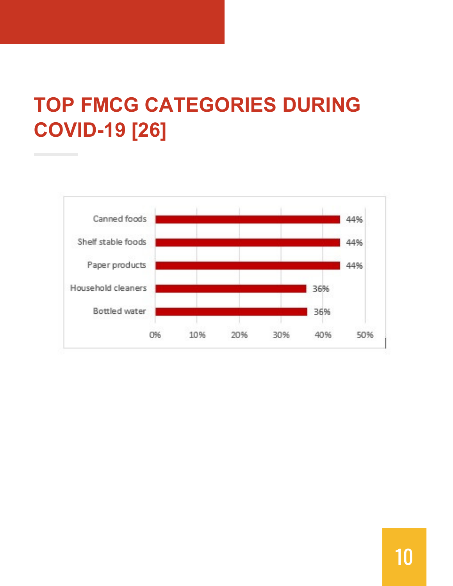## **TOP FMCG CATEGORIES DURING COVID-19 [26]**

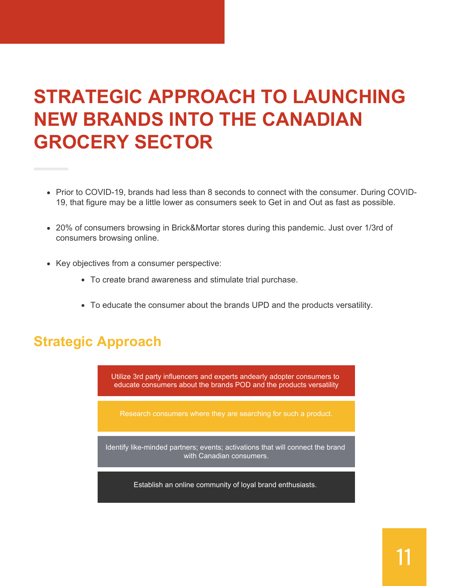### **STRATEGIC APPROACH TO LAUNCHING NEW BRANDS INTO THE CANADIAN GROCERY SECTOR**

- Prior to COVID-19, brands had less than 8 seconds to connect with the consumer. During COVID-19, that figure may be a little lower as consumers seek to Get in and Out as fast as possible.
- 20% of consumers browsing in Brick&Mortar stores during this pandemic. Just over 1/3rd of consumers browsing online.
- Key objectives from a consumer perspective:
	- To create brand awareness and stimulate trial purchase.
	- To educate the consumer about the brands UPD and the products versatility.

#### **Strategic Approach**

Utilize 3rd party influencers and experts andearly adopter consumers to educate consumers about the brands POD and the products versatility

Identify like-minded partners; events; activations that will connect the brand with Canadian consumers.

Establish an online community of loyal brand enthusiasts.